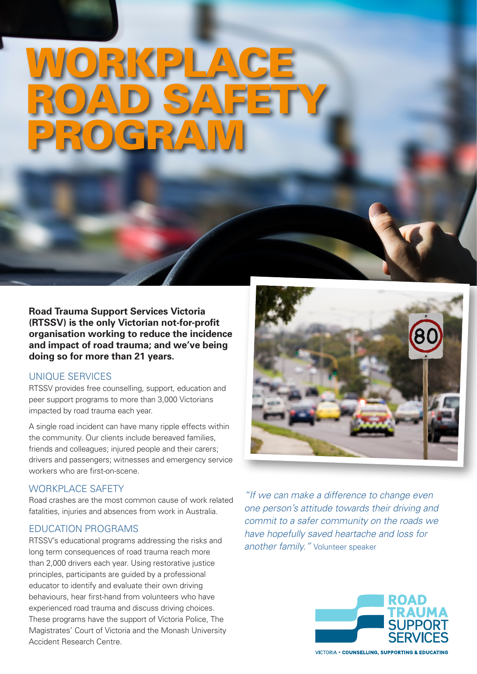# WORKPLACE ROAD SAFETY. PROGRAM

**Road Trauma Support Services Victoria (RTSSV) is the only Victorian not-for-profit organisation working to reduce the incidence and impact of road trauma; and we've being doing so for more than 21 years.**

#### UNIQUE SERVICES

RTSSV provides free counselling, support, education and peer support programs to more than 3,000 Victorians impacted by road trauma each year.

A single road incident can have many ripple effects within the community. Our clients include bereaved families, friends and colleagues; injured people and their carers; drivers and passengers; witnesses and emergency service workers who are first-on-scene.

#### WORKPLACE SAFETY

Road crashes are the most common cause of work related fatalities, injuries and absences from work in Australia.

#### EDUCATION PROGRAMS

RTSSV's educational programs addressing the risks and long term consequences of road trauma reach more than 2,000 drivers each year. Using restorative justice principles, participants are guided by a professional educator to identify and evaluate their own driving behaviours, hear first-hand from volunteers who have experienced road trauma and discuss driving choices. These programs have the support of Victoria Police, The Magistrates' Court of Victoria and the Monash University Accident Research Centre.



*"If we can make a difference to change even one person's attitude towards their driving and commit to a safer community on the roads we have hopefully saved heartache and loss for another family."* Volunteer speaker



**VICTORIA . COUNSELLING, SUPPORTING & EDUCATING**